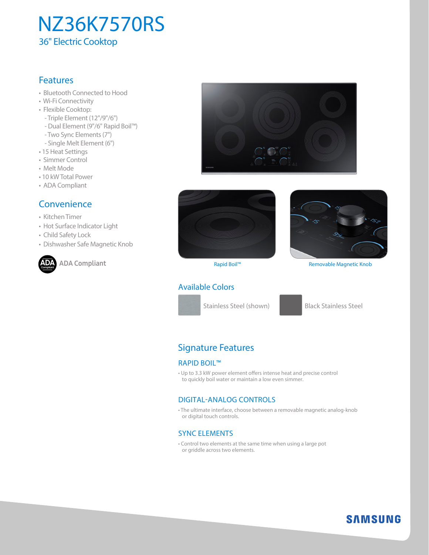# NZ36K7570RS 36" Electric Cooktop

## **Features**

- Bluetooth Connected to Hood
- Wi-Fi Connectivity
- Flexible Cooktop:
	- Triple Element (12"/9"/6")
	- Dual Element (9"/6" Rapid Boil™)
- Two Sync Elements (7")
- Single Melt Element (6")
- 15 Heat Settings
- Simmer Control
- Melt Mode
- 10 kW Total Power
- ADA Compliant

### **Convenience**

- Kitchen Timer
- Hot Surface Indicator Light
- Child Safety Lock
- Dishwasher Safe Magnetic Knob



**ADA** ADA Compliant **Compliant**







Rapid Boil™ Removable Magnetic Knob

### Available Colors



# Signature Features

#### RAPID BOIL™

• Up to 3.3 kW power element offers intense heat and precise control to quickly boil water or maintain a low even simmer.

### DIGITAL-ANALOG CONTROLS

• The ultimate interface, choose between a removable magnetic analog-knob or digital touch controls.

### SYNC ELEMENTS

• Control two elements at the same time when using a large pot or griddle across two elements.

# **SAMSUNG**